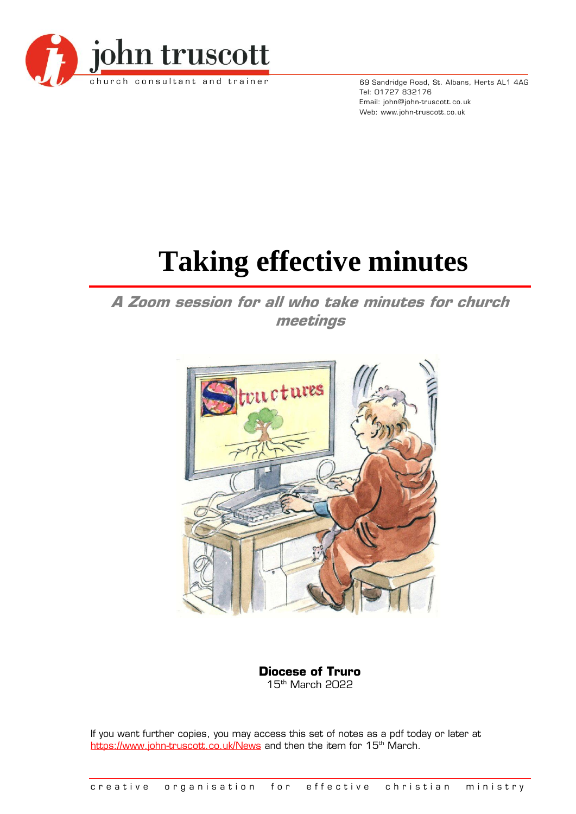

69 Sandridge Road, St. Albans, Herts AL1 4AG Tel: 01727 832176 Email: john@john-truscott.co.uk Web: www.john-truscott.co.uk

# **Taking effective minutes**

**A Zoom session for all who take minutes for church meetings**



**Diocese of Truro** 15 th March 2022

If you want further copies, you may access this set of notes as a pdf today or later at <https://www.john-truscott.co.uk/News> and then the item for 15<sup>th</sup> March.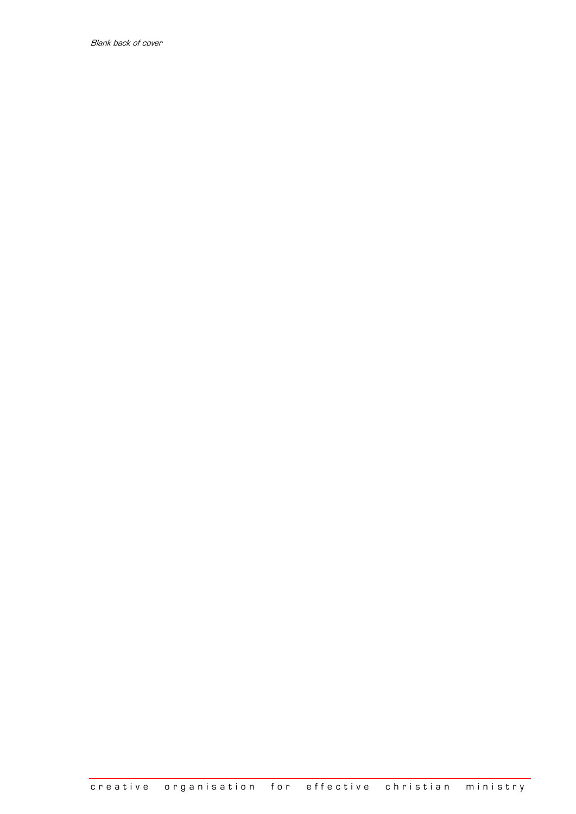Blank back of cover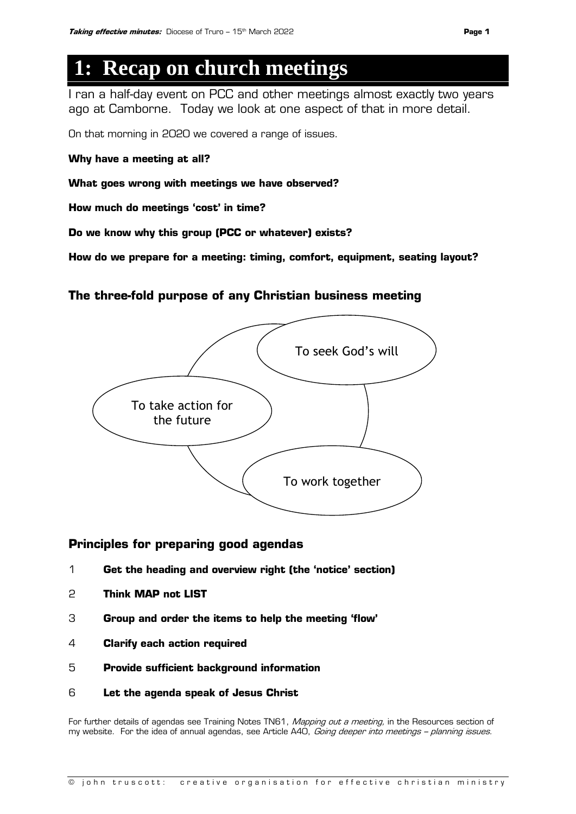## **1: Recap on church meetings**

I ran a half-day event on PCC and other meetings almost exactly two years ago at Camborne. Today we look at one aspect of that in more detail.

On that morning in 2020 we covered a range of issues.

**Why have a meeting at all?**

**What goes wrong with meetings we have observed?**

**How much do meetings 'cost' in time?**

**Do we know why this group (PCC or whatever) exists?**

**How do we prepare for a meeting: timing, comfort, equipment, seating layout?**

### **The three-fold purpose of any Christian business meeting**



### **Principles for preparing good agendas**

- 1 **Get the heading and overview right (the 'notice' section)**
- 2 **Think MAP not LIST**
- 3 **Group and order the items to help the meeting 'flow'**
- 4 **Clarify each action required**
- 5 **Provide sufficient background information**
- 6 **Let the agenda speak of Jesus Christ**

For further details of agendas see Training Notes TN61, Mapping out a meeting, in the Resources section of my website. For the idea of annual agendas, see Article A40, Going deeper into meetings - planning issues.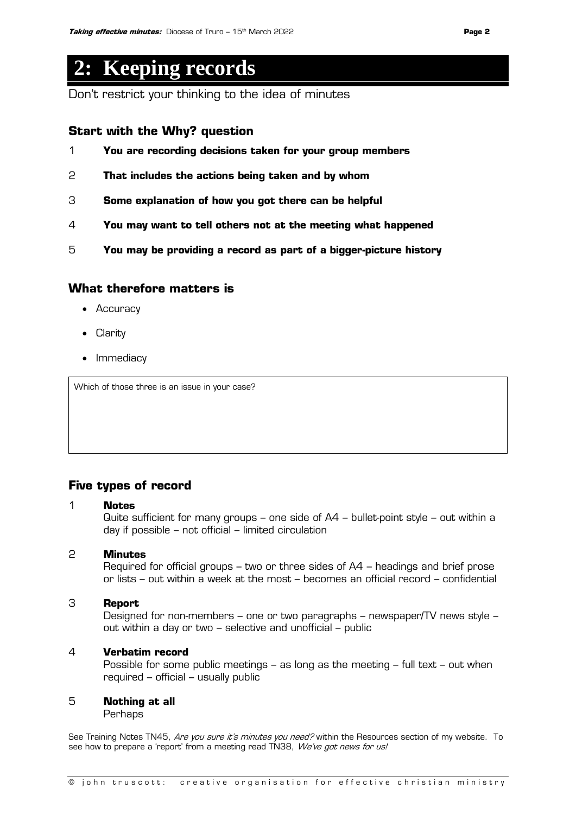## **2: Keeping records**

Don't restrict your thinking to the idea of minutes

### **Start with the Why? question**

- 1 **You are recording decisions taken for your group members**
- 2 **That includes the actions being taken and by whom**
- 3 **Some explanation of how you got there can be helpful**
- 4 **You may want to tell others not at the meeting what happened**
- 5 **You may be providing a record as part of a bigger-picture history**

### **What therefore matters is**

- Accuracy
- Clarity
- Immediacy

Which of those three is an issue in your case?

### **Five types of record**

### 1 **Notes**

Quite sufficient for many groups – one side of A4 – bullet-point style – out within a day if possible – not official – limited circulation

### 2 **Minutes**

Required for official groups – two or three sides of A4 – headings and brief prose or lists – out within a week at the most – becomes an official record – confidential

### 3 **Report**

Designed for non-members – one or two paragraphs – newspaper/TV news style – out within a day or two – selective and unofficial – public

### 4 **Verbatim record**

Possible for some public meetings – as long as the meeting – full text – out when required – official – usually public

### 5 **Nothing at all**

Perhaps

See Training Notes TN45, Are you sure it's minutes you need? within the Resources section of my website. To see how to prepare a 'report' from a meeting read TN38, We've got news for us!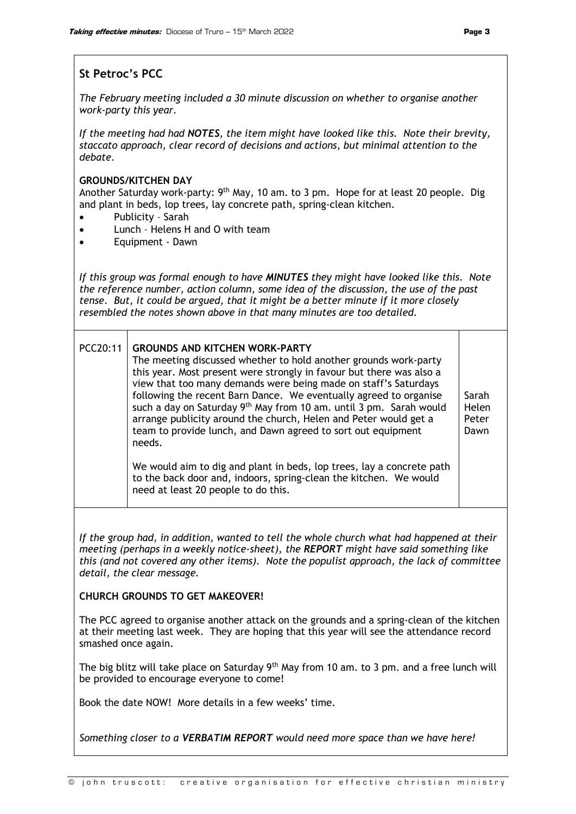### **St Petroc's PCC**

*The February meeting included a 30 minute discussion on whether to organise another work-party this year.*

*If the meeting had had NOTES, the item might have looked like this. Note their brevity, staccato approach, clear record of decisions and actions, but minimal attention to the debate.*

### **GROUNDS/KITCHEN DAY**

Another Saturday work-party:  $9<sup>th</sup>$  May, 10 am. to 3 pm. Hope for at least 20 people. Dig and plant in beds, lop trees, lay concrete path, spring-clean kitchen.

- Publicity Sarah
- Lunch Helens H and O with team
- Equipment Dawn

*If this group was formal enough to have MINUTES they might have looked like this. Note the reference number, action column, some idea of the discussion, the use of the past tense. But, it could be argued, that it might be a better minute if it more closely resembled the notes shown above in that many minutes are too detailed.*

| PCC20:11 | <b>GROUNDS AND KITCHEN WORK-PARTY</b><br>The meeting discussed whether to hold another grounds work-party<br>this year. Most present were strongly in favour but there was also a<br>view that too many demands were being made on staff's Saturdays<br>following the recent Barn Dance. We eventually agreed to organise<br>such a day on Saturday 9 <sup>th</sup> May from 10 am. until 3 pm. Sarah would<br>arrange publicity around the church, Helen and Peter would get a<br>team to provide lunch, and Dawn agreed to sort out equipment<br>needs. | Sarah<br>Helen<br>Peter<br>Dawn |
|----------|-----------------------------------------------------------------------------------------------------------------------------------------------------------------------------------------------------------------------------------------------------------------------------------------------------------------------------------------------------------------------------------------------------------------------------------------------------------------------------------------------------------------------------------------------------------|---------------------------------|
|          | We would aim to dig and plant in beds, lop trees, lay a concrete path<br>to the back door and, indoors, spring-clean the kitchen. We would<br>need at least 20 people to do this.                                                                                                                                                                                                                                                                                                                                                                         |                                 |

*If the group had, in addition, wanted to tell the whole church what had happened at their meeting (perhaps in a weekly notice-sheet), the REPORT might have said something like this (and not covered any other items). Note the populist approach, the lack of committee detail, the clear message.*

### **CHURCH GROUNDS TO GET MAKEOVER!**

The PCC agreed to organise another attack on the grounds and a spring-clean of the kitchen at their meeting last week. They are hoping that this year will see the attendance record smashed once again.

The big blitz will take place on Saturday  $9<sup>th</sup>$  May from 10 am. to 3 pm. and a free lunch will be provided to encourage everyone to come!

Book the date NOW! More details in a few weeks' time.

*Something closer to a VERBATIM REPORT would need more space than we have here!*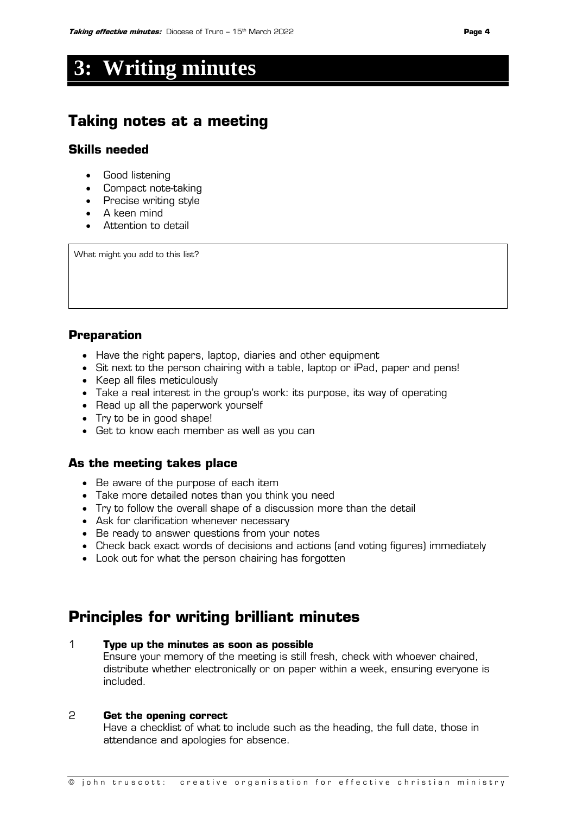## **3: Writing minutes**

### **Taking notes at a meeting**

### **Skills needed**

- Good listening
- Compact note-taking
- Precise writing style
- A keen mind
- Attention to detail

What might you add to this list?

### **Preparation**

- Have the right papers, laptop, diaries and other equipment
- Sit next to the person chairing with a table, laptop or iPad, paper and pens!
- Keep all files meticulously
- Take a real interest in the group's work: its purpose, its way of operating
- Read up all the paperwork yourself
- Try to be in good shape!
- Get to know each member as well as you can

### **As the meeting takes place**

- Be aware of the purpose of each item
- Take more detailed notes than you think you need
- Try to follow the overall shape of a discussion more than the detail
- Ask for clarification whenever necessary
- Be ready to answer questions from your notes
- Check back exact words of decisions and actions (and voting figures) immediately
- Look out for what the person chairing has forgotten

### **Principles for writing brilliant minutes**

### 1 **Type up the minutes as soon as possible**

Ensure your memory of the meeting is still fresh, check with whoever chaired, distribute whether electronically or on paper within a week, ensuring everyone is included.

### 2 **Get the opening correct**

Have a checklist of what to include such as the heading, the full date, those in attendance and apologies for absence.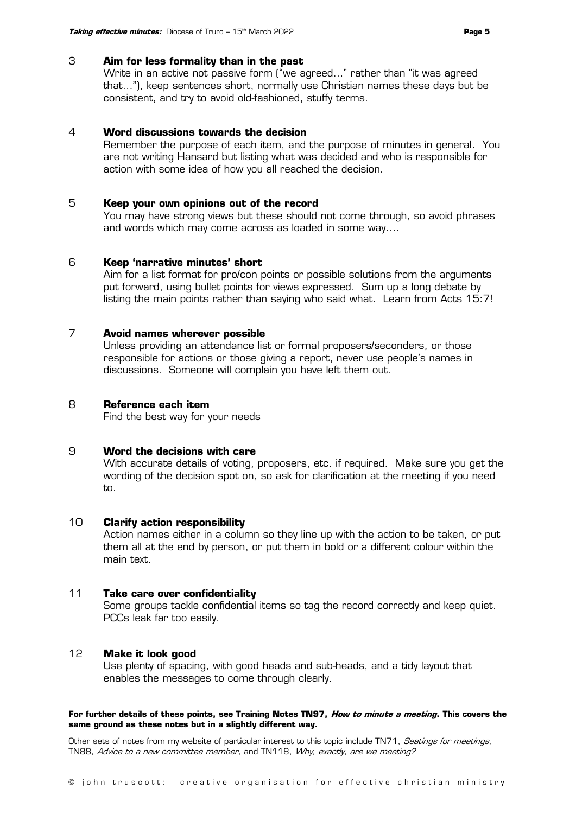### 3 **Aim for less formality than in the past**

Write in an active not passive form ("we agreed…" rather than "it was agreed that…"), keep sentences short, normally use Christian names these days but be consistent, and try to avoid old-fashioned, stuffy terms.

### 4 **Word discussions towards the decision**

Remember the purpose of each item, and the purpose of minutes in general. You are not writing Hansard but listing what was decided and who is responsible for action with some idea of how you all reached the decision.

### 5 **Keep your own opinions out of the record**

You may have strong views but these should not come through, so avoid phrases and words which may come across as loaded in some way.…

### 6 **Keep 'narrative minutes' short**

Aim for a list format for pro/con points or possible solutions from the arguments put forward, using bullet points for views expressed. Sum up a long debate by listing the main points rather than saying who said what. Learn from Acts 15:7!

### 7 **Avoid names wherever possible**

Unless providing an attendance list or formal proposers/seconders, or those responsible for actions or those giving a report, never use people's names in discussions. Someone will complain you have left them out.

### 8 **Reference each item**

Find the best way for your needs

### 9 **Word the decisions with care**

With accurate details of voting, proposers, etc. if required. Make sure you get the wording of the decision spot on, so ask for clarification at the meeting if you need to.

### 10 **Clarify action responsibility**

Action names either in a column so they line up with the action to be taken, or put them all at the end by person, or put them in bold or a different colour within the main text.

### 11 **Take care over confidentiality**

Some groups tackle confidential items so tag the record correctly and keep quiet. PCCs leak far too easily.

### 12 **Make it look good**

Use plenty of spacing, with good heads and sub-heads, and a tidy layout that enables the messages to come through clearly.

### **For further details of these points, see Training Notes TN97, How to minute a meeting. This covers the same ground as these notes but in a slightly different way.**

Other sets of notes from my website of particular interest to this topic include TN71, Seatings for meetings, TN88, Advice to a new committee member, and TN118, Why, exactly, are we meeting?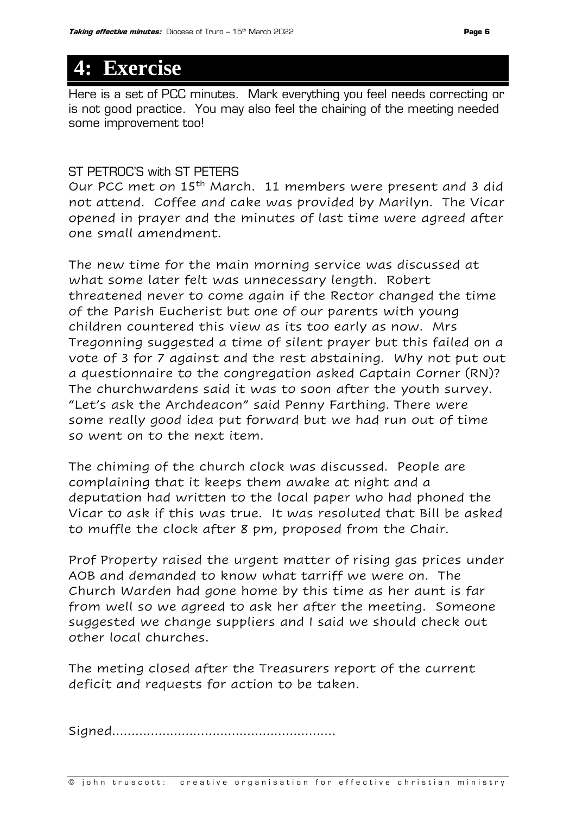## **4: Exercise**

Here is a set of PCC minutes. Mark everything you feel needs correcting or is not good practice. You may also feel the chairing of the meeting needed some improvement too!

### ST PETROC'S with ST PETERS

Our PCC met on 15th March. 11 members were present and 3 did not attend. Coffee and cake was provided by Marilyn. The Vicar opened in prayer and the minutes of last time were agreed after one small amendment.

The new time for the main morning service was discussed at what some later felt was unnecessary length. Robert threatened never to come again if the Rector changed the time of the Parish Eucherist but one of our parents with young children countered this view as its too early as now. Mrs Tregonning suggested a time of silent prayer but this failed on a vote of 3 for 7 against and the rest abstaining. Why not put out a questionnaire to the congregation asked Captain Corner (RN)? The churchwardens said it was to soon after the youth survey. "Let's ask the Archdeacon" said Penny Farthing. There were some really good idea put forward but we had run out of time so went on to the next item.

The chiming of the church clock was discussed. People are complaining that it keeps them awake at night and a deputation had written to the local paper who had phoned the Vicar to ask if this was true. It was resoluted that Bill be asked to muffle the clock after 8 pm, proposed from the Chair.

Prof Property raised the urgent matter of rising gas prices under AOB and demanded to know what tarriff we were on. The Church Warden had gone home by this time as her aunt is far from well so we agreed to ask her after the meeting. Someone suggested we change suppliers and I said we should check out other local churches.

The meting closed after the Treasurers report of the current deficit and requests for action to be taken.

Signed………………………………………………….